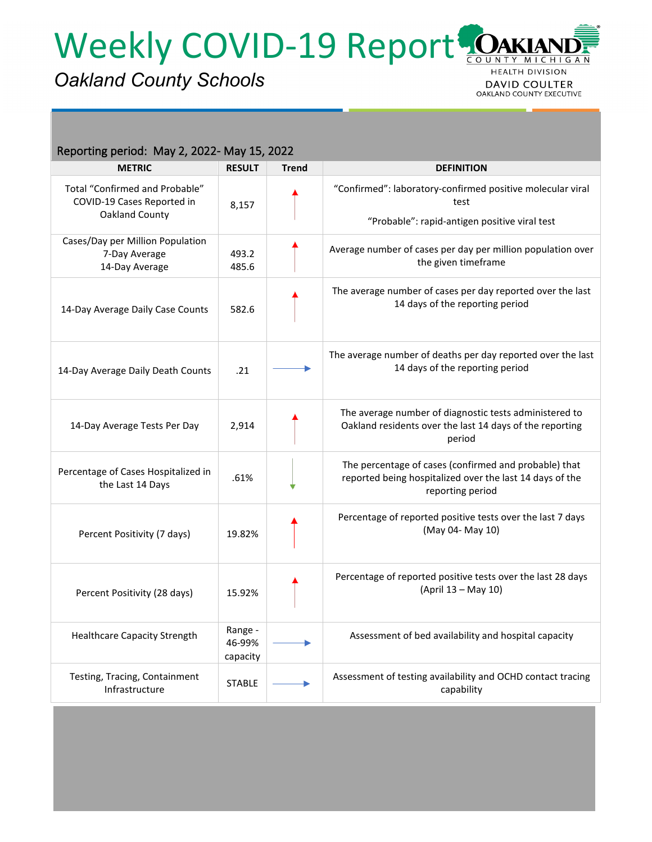Weekly COVID-19 Report

## *Oakland County Schools*

**MICHIGAN HEALTH DIVISION DAVID COULTER** OAKLAND COUNTY EXECUTIVE

| Reporting period: May 2, 2022- May 15, 2022                                    |                               |              |                                                                                                                                       |  |  |  |  |
|--------------------------------------------------------------------------------|-------------------------------|--------------|---------------------------------------------------------------------------------------------------------------------------------------|--|--|--|--|
| <b>METRIC</b>                                                                  | <b>RESULT</b>                 | <b>Trend</b> | <b>DEFINITION</b>                                                                                                                     |  |  |  |  |
| Total "Confirmed and Probable"<br>COVID-19 Cases Reported in<br>Oakland County | 8,157                         |              | "Confirmed": laboratory-confirmed positive molecular viral<br>test<br>"Probable": rapid-antigen positive viral test                   |  |  |  |  |
| Cases/Day per Million Population<br>7-Day Average<br>14-Day Average            | 493.2<br>485.6                |              | Average number of cases per day per million population over<br>the given timeframe                                                    |  |  |  |  |
| 14-Day Average Daily Case Counts                                               | 582.6                         |              | The average number of cases per day reported over the last<br>14 days of the reporting period                                         |  |  |  |  |
| 14-Day Average Daily Death Counts                                              | .21                           |              | The average number of deaths per day reported over the last<br>14 days of the reporting period                                        |  |  |  |  |
| 14-Day Average Tests Per Day                                                   | 2,914                         |              | The average number of diagnostic tests administered to<br>Oakland residents over the last 14 days of the reporting<br>period          |  |  |  |  |
| Percentage of Cases Hospitalized in<br>the Last 14 Days                        | .61%                          |              | The percentage of cases (confirmed and probable) that<br>reported being hospitalized over the last 14 days of the<br>reporting period |  |  |  |  |
| Percent Positivity (7 days)                                                    | 19.82%                        |              | Percentage of reported positive tests over the last 7 days<br>(May 04- May 10)                                                        |  |  |  |  |
| Percent Positivity (28 days)                                                   | 15.92%                        |              | Percentage of reported positive tests over the last 28 days<br>(April 13 - May 10)                                                    |  |  |  |  |
| <b>Healthcare Capacity Strength</b>                                            | Range -<br>46-99%<br>capacity |              | Assessment of bed availability and hospital capacity                                                                                  |  |  |  |  |
| Testing, Tracing, Containment<br>Infrastructure                                | <b>STABLE</b>                 |              | Assessment of testing availability and OCHD contact tracing<br>capability                                                             |  |  |  |  |